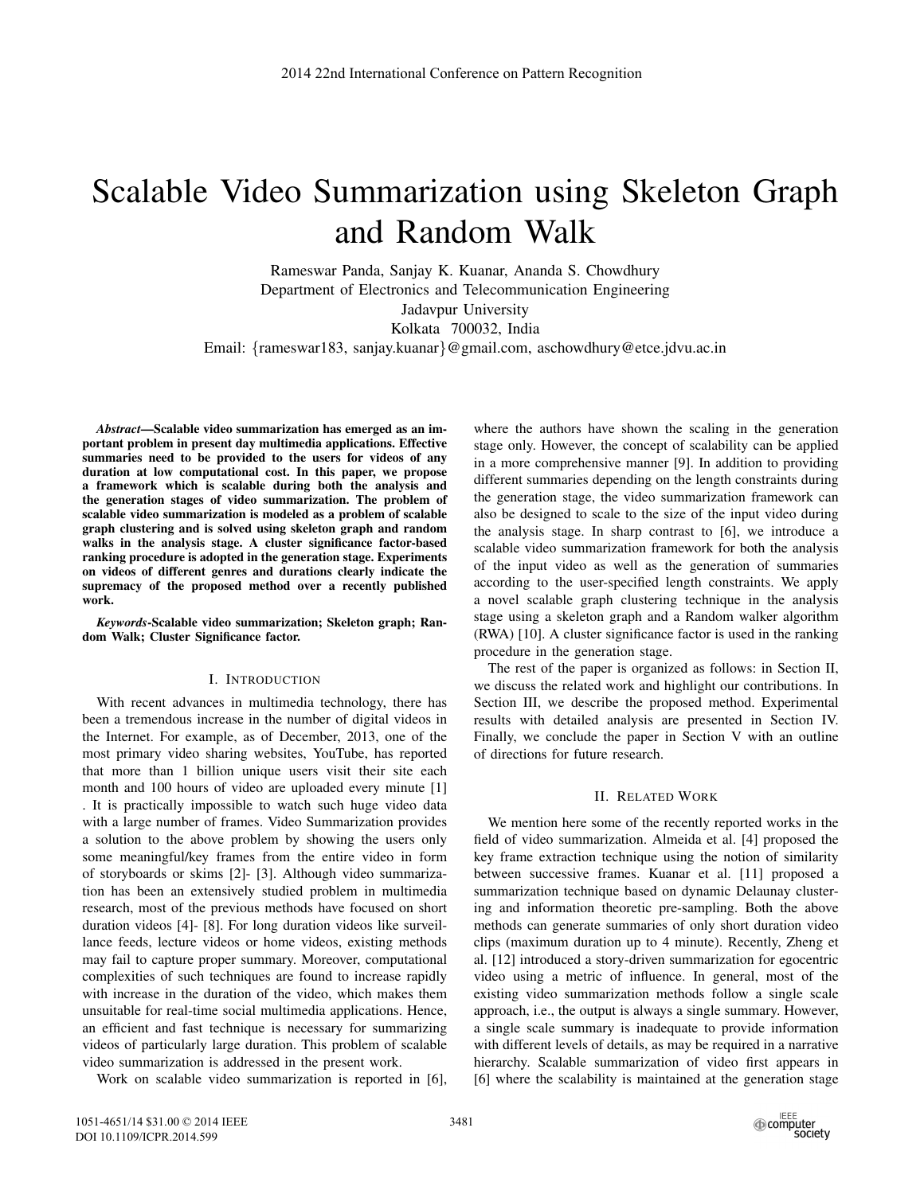# Scalable Video Summarization using Skeleton Graph and Random Walk

Rameswar Panda, Sanjay K. Kuanar, Ananda S. Chowdhury Department of Electronics and Telecommunication Engineering Jadavpur University Kolkata 700032, India Email: {rameswar183, sanjay.kuanar}@gmail.com, aschowdhury@etce.jdvu.ac.in

*Abstract*—Scalable video summarization has emerged as an important problem in present day multimedia applications. Effective summaries need to be provided to the users for videos of any duration at low computational cost. In this paper, we propose a framework which is scalable during both the analysis and the generation stages of video summarization. The problem of scalable video summarization is modeled as a problem of scalable graph clustering and is solved using skeleton graph and random walks in the analysis stage. A cluster significance factor-based ranking procedure is adopted in the generation stage. Experiments on videos of different genres and durations clearly indicate the supremacy of the proposed method over a recently published work.

*Keywords*-Scalable video summarization; Skeleton graph; Random Walk; Cluster Significance factor.

# I. INTRODUCTION

With recent advances in multimedia technology, there has been a tremendous increase in the number of digital videos in the Internet. For example, as of December, 2013, one of the most primary video sharing websites, YouTube, has reported that more than 1 billion unique users visit their site each month and 100 hours of video are uploaded every minute [1] . It is practically impossible to watch such huge video data with a large number of frames. Video Summarization provides a solution to the above problem by showing the users only some meaningful/key frames from the entire video in form of storyboards or skims [2]- [3]. Although video summarization has been an extensively studied problem in multimedia research, most of the previous methods have focused on short duration videos [4]- [8]. For long duration videos like surveillance feeds, lecture videos or home videos, existing methods may fail to capture proper summary. Moreover, computational complexities of such techniques are found to increase rapidly with increase in the duration of the video, which makes them unsuitable for real-time social multimedia applications. Hence, an efficient and fast technique is necessary for summarizing videos of particularly large duration. This problem of scalable video summarization is addressed in the present work.

Work on scalable video summarization is reported in [6],

where the authors have shown the scaling in the generation stage only. However, the concept of scalability can be applied in a more comprehensive manner [9]. In addition to providing different summaries depending on the length constraints during the generation stage, the video summarization framework can also be designed to scale to the size of the input video during the analysis stage. In sharp contrast to [6], we introduce a scalable video summarization framework for both the analysis of the input video as well as the generation of summaries according to the user-specified length constraints. We apply a novel scalable graph clustering technique in the analysis stage using a skeleton graph and a Random walker algorithm (RWA) [10]. A cluster significance factor is used in the ranking procedure in the generation stage.

The rest of the paper is organized as follows: in Section II, we discuss the related work and highlight our contributions. In Section III, we describe the proposed method. Experimental results with detailed analysis are presented in Section IV. Finally, we conclude the paper in Section V with an outline of directions for future research.

#### II. RELATED WORK

We mention here some of the recently reported works in the field of video summarization. Almeida et al. [4] proposed the key frame extraction technique using the notion of similarity between successive frames. Kuanar et al. [11] proposed a summarization technique based on dynamic Delaunay clustering and information theoretic pre-sampling. Both the above methods can generate summaries of only short duration video clips (maximum duration up to 4 minute). Recently, Zheng et al. [12] introduced a story-driven summarization for egocentric video using a metric of influence. In general, most of the existing video summarization methods follow a single scale approach, i.e., the output is always a single summary. However, a single scale summary is inadequate to provide information with different levels of details, as may be required in a narrative hierarchy. Scalable summarization of video first appears in [6] where the scalability is maintained at the generation stage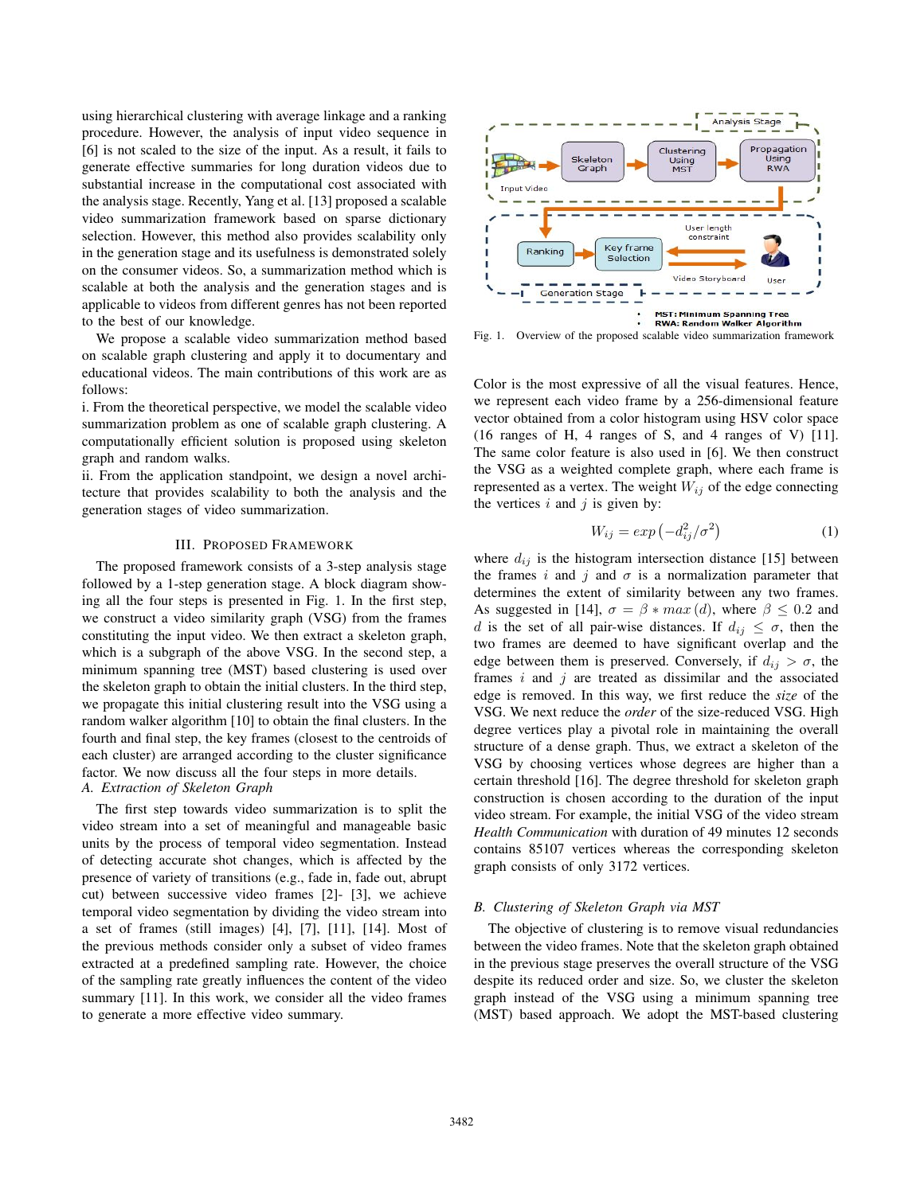using hierarchical clustering with average linkage and a ranking procedure. However, the analysis of input video sequence in [6] is not scaled to the size of the input. As a result, it fails to generate effective summaries for long duration videos due to substantial increase in the computational cost associated with the analysis stage. Recently, Yang et al. [13] proposed a scalable video summarization framework based on sparse dictionary selection. However, this method also provides scalability only in the generation stage and its usefulness is demonstrated solely on the consumer videos. So, a summarization method which is scalable at both the analysis and the generation stages and is applicable to videos from different genres has not been reported to the best of our knowledge.

We propose a scalable video summarization method based on scalable graph clustering and apply it to documentary and educational videos. The main contributions of this work are as follows:

i. From the theoretical perspective, we model the scalable video summarization problem as one of scalable graph clustering. A computationally efficient solution is proposed using skeleton graph and random walks.

ii. From the application standpoint, we design a novel architecture that provides scalability to both the analysis and the generation stages of video summarization.

#### III. PROPOSED FRAMEWORK

The proposed framework consists of a 3-step analysis stage followed by a 1-step generation stage. A block diagram showing all the four steps is presented in Fig. 1. In the first step, we construct a video similarity graph (VSG) from the frames constituting the input video. We then extract a skeleton graph, which is a subgraph of the above VSG. In the second step, a minimum spanning tree (MST) based clustering is used over the skeleton graph to obtain the initial clusters. In the third step, we propagate this initial clustering result into the VSG using a random walker algorithm [10] to obtain the final clusters. In the fourth and final step, the key frames (closest to the centroids of each cluster) are arranged according to the cluster significance factor. We now discuss all the four steps in more details. *A. Extraction of Skeleton Graph*

The first step towards video summarization is to split the video stream into a set of meaningful and manageable basic units by the process of temporal video segmentation. Instead of detecting accurate shot changes, which is affected by the presence of variety of transitions (e.g., fade in, fade out, abrupt cut) between successive video frames [2]- [3], we achieve temporal video segmentation by dividing the video stream into a set of frames (still images) [4], [7], [11], [14]. Most of the previous methods consider only a subset of video frames extracted at a predefined sampling rate. However, the choice of the sampling rate greatly influences the content of the video summary [11]. In this work, we consider all the video frames to generate a more effective video summary.



Fig. 1. Overview of the proposed scalable video summarization framework

Color is the most expressive of all the visual features. Hence, we represent each video frame by a 256-dimensional feature vector obtained from a color histogram using HSV color space (16 ranges of H, 4 ranges of S, and 4 ranges of V) [11]. The same color feature is also used in [6]. We then construct the VSG as a weighted complete graph, where each frame is represented as a vertex. The weight  $W_{ij}$  of the edge connecting the vertices  $i$  and  $j$  is given by:

$$
W_{ij} = exp(-d_{ij}^2/\sigma^2)
$$
 (1)

where  $d_{ij}$  is the histogram intersection distance [15] between the frames i and j and  $\sigma$  is a normalization parameter that determines the extent of similarity between any two frames. As suggested in [14],  $\sigma = \beta * max(d)$ , where  $\beta \leq 0.2$  and d is the set of all pair-wise distances. If  $d_{ij} \leq \sigma$ , then the two frames are deemed to have significant overlap and the edge between them is preserved. Conversely, if  $d_{ij} > \sigma$ , the frames  $i$  and  $j$  are treated as dissimilar and the associated edge is removed. In this way, we first reduce the *size* of the VSG. We next reduce the *order* of the size-reduced VSG. High degree vertices play a pivotal role in maintaining the overall structure of a dense graph. Thus, we extract a skeleton of the VSG by choosing vertices whose degrees are higher than a certain threshold [16]. The degree threshold for skeleton graph construction is chosen according to the duration of the input video stream. For example, the initial VSG of the video stream *Health Communication* with duration of 49 minutes 12 seconds contains 85107 vertices whereas the corresponding skeleton graph consists of only 3172 vertices.

#### *B. Clustering of Skeleton Graph via MST*

The objective of clustering is to remove visual redundancies between the video frames. Note that the skeleton graph obtained in the previous stage preserves the overall structure of the VSG despite its reduced order and size. So, we cluster the skeleton graph instead of the VSG using a minimum spanning tree (MST) based approach. We adopt the MST-based clustering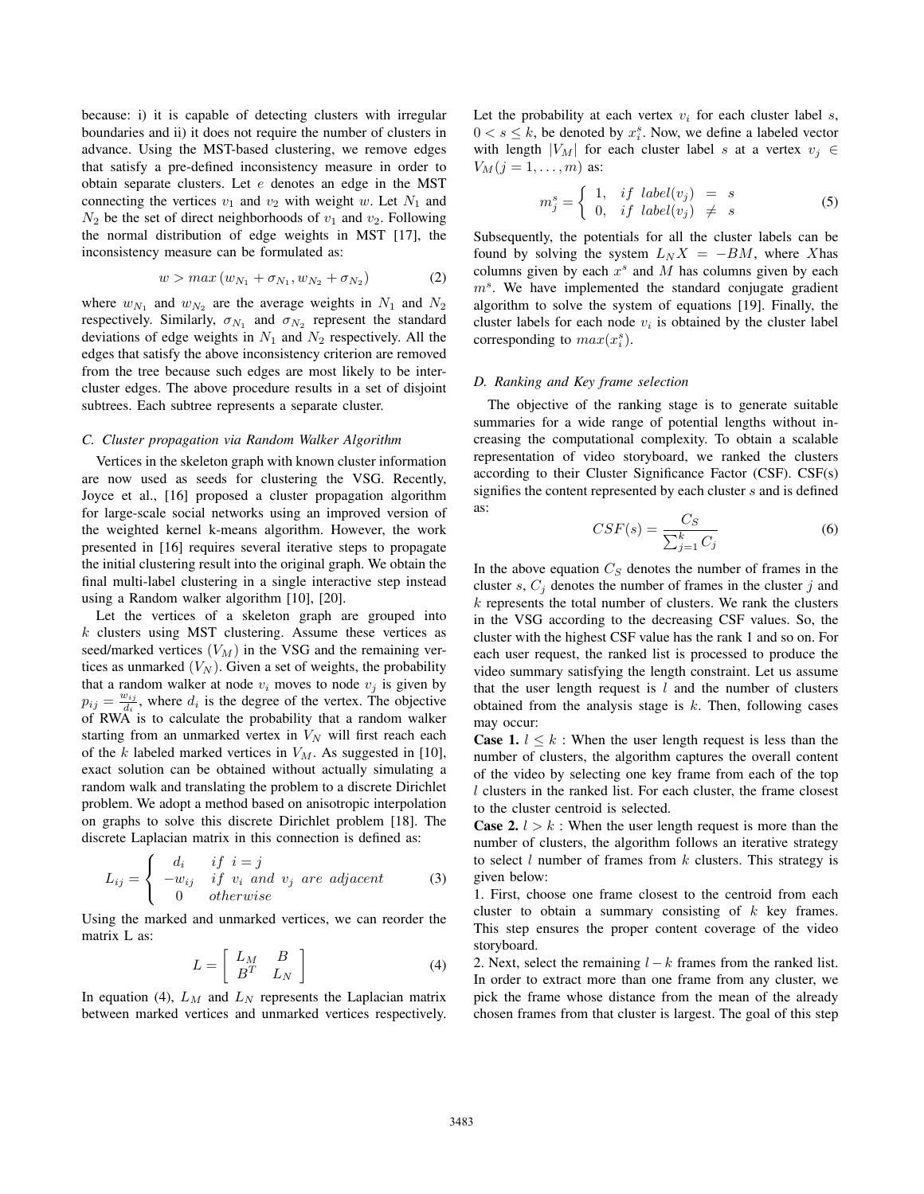because: i) it is capable of detecting clusters with irregular boundaries and ii) it does not require the number of clusters in advance. Using the MST-based clustering, we remove edges that satisfy a pre-defined inconsistency measure in order to obtain separate clusters. Let e denotes an edge in the MST connecting the vertices  $v_1$  and  $v_2$  with weight w. Let  $N_1$  and  $N_2$  be the set of direct neighborhoods of  $v_1$  and  $v_2$ . Following the normal distribution of edge weights in MST [17], the inconsistency measure can be formulated as:

$$
w > max (w_{N_1} + \sigma_{N_1}, w_{N_2} + \sigma_{N_2})
$$
 (2)

where  $w_{N_1}$  and  $w_{N_2}$  are the average weights in  $N_1$  and  $N_2$ respectively. Similarly,  $\sigma_{N_1}$  and  $\sigma_{N_2}$  represent the standard deviations of edge weights in  $N_1$  and  $N_2$  respectively. All the edges that satisfy the above inconsistency criterion are removed from the tree because such edges are most likely to be intercluster edges. The above procedure results in a set of disjoint subtrees. Each subtree represents a separate cluster.

# *C. Cluster propagation via Random Walker Algorithm*

Vertices in the skeleton graph with known cluster information are now used as seeds for clustering the VSG. Recently, Joyce et al., [16] proposed a cluster propagation algorithm for large-scale social networks using an improved version of the weighted kernel k-means algorithm. However, the work presented in [16] requires several iterative steps to propagate the initial clustering result into the original graph. We obtain the final multi-label clustering in a single interactive step instead using a Random walker algorithm [10], [20].

Let the vertices of a skeleton graph are grouped into k clusters using MST clustering. Assume these vertices as seed/marked vertices  $(V_M)$  in the VSG and the remaining vertices as unmarked  $(V_N)$ . Given a set of weights, the probability that a random walker at node  $v_i$  moves to node  $v_j$  is given by  $p_{ij} = \frac{w_{ij}}{d_i}$ , where  $d_i$  is the degree of the vertex. The objective of RWA is to calculate the probability that a random walker starting from an unmarked vertex in  $V_N$  will first reach each of the k labeled marked vertices in  $V_M$ . As suggested in [10], exact solution can be obtained without actually simulating a random walk and translating the problem to a discrete Dirichlet problem. We adopt a method based on anisotropic interpolation on graphs to solve this discrete Dirichlet problem [18]. The discrete Laplacian matrix in this connection is defined as:

$$
L_{ij} = \begin{cases} d_i & if \ i = j \\ -w_{ij} & if \ v_i \ and \ v_j \ are \ adjacent \\ 0 & otherwise \end{cases}
$$
 (3)

Using the marked and unmarked vertices, we can reorder the matrix L as:

$$
L = \left[ \begin{array}{cc} L_M & B \\ B^T & L_N \end{array} \right] \tag{4}
$$

In equation (4),  $L_M$  and  $L_N$  represents the Laplacian matrix between marked vertices and unmarked vertices respectively.

Let the probability at each vertex  $v_i$  for each cluster label s,  $0 < s \leq k$ , be denoted by  $x_i^s$ . Now, we define a labeled vector with length  $|V_M|$  for each cluster label s at a vertex  $v_j \in$  $V_M(j = 1, ..., m)$  as:

$$
m_j^s = \begin{cases} 1, & if \ label(v_j) = s \\ 0, & if \ label(v_j) \neq s \end{cases}
$$
 (5)

Subsequently, the potentials for all the cluster labels can be found by solving the system  $L_N X = -BM$ , where Xhas columns given by each  $x<sup>s</sup>$  and M has columns given by each  $m<sup>s</sup>$ . We have implemented the standard conjugate gradient algorithm to solve the system of equations [19]. Finally, the cluster labels for each node  $v_i$  is obtained by the cluster label corresponding to  $max(x_i^s)$ .

## *D. Ranking and Key frame selection*

The objective of the ranking stage is to generate suitable summaries for a wide range of potential lengths without increasing the computational complexity. To obtain a scalable representation of video storyboard, we ranked the clusters according to their Cluster Significance Factor (CSF). CSF(s) signifies the content represented by each cluster  $s$  and is defined as:

$$
CSF(s) = \frac{C_S}{\sum_{j=1}^k C_j} \tag{6}
$$

In the above equation  $C_S$  denotes the number of frames in the cluster s,  $C_j$  denotes the number of frames in the cluster j and  $k$  represents the total number of clusters. We rank the clusters in the VSG according to the decreasing CSF values. So, the cluster with the highest CSF value has the rank 1 and so on. For each user request, the ranked list is processed to produce the video summary satisfying the length constraint. Let us assume that the user length request is  $l$  and the number of clusters obtained from the analysis stage is  $k$ . Then, following cases may occur:

**Case 1.**  $l \leq k$ : When the user length request is less than the number of clusters, the algorithm captures the overall content of the video by selecting one key frame from each of the top l clusters in the ranked list. For each cluster, the frame closest to the cluster centroid is selected.

**Case 2.**  $l > k$  : When the user length request is more than the number of clusters, the algorithm follows an iterative strategy to select  $l$  number of frames from  $k$  clusters. This strategy is given below:

1. First, choose one frame closest to the centroid from each cluster to obtain a summary consisting of  $k$  key frames. This step ensures the proper content coverage of the video storyboard.

2. Next, select the remaining  $l - k$  frames from the ranked list. In order to extract more than one frame from any cluster, we pick the frame whose distance from the mean of the already chosen frames from that cluster is largest. The goal of this step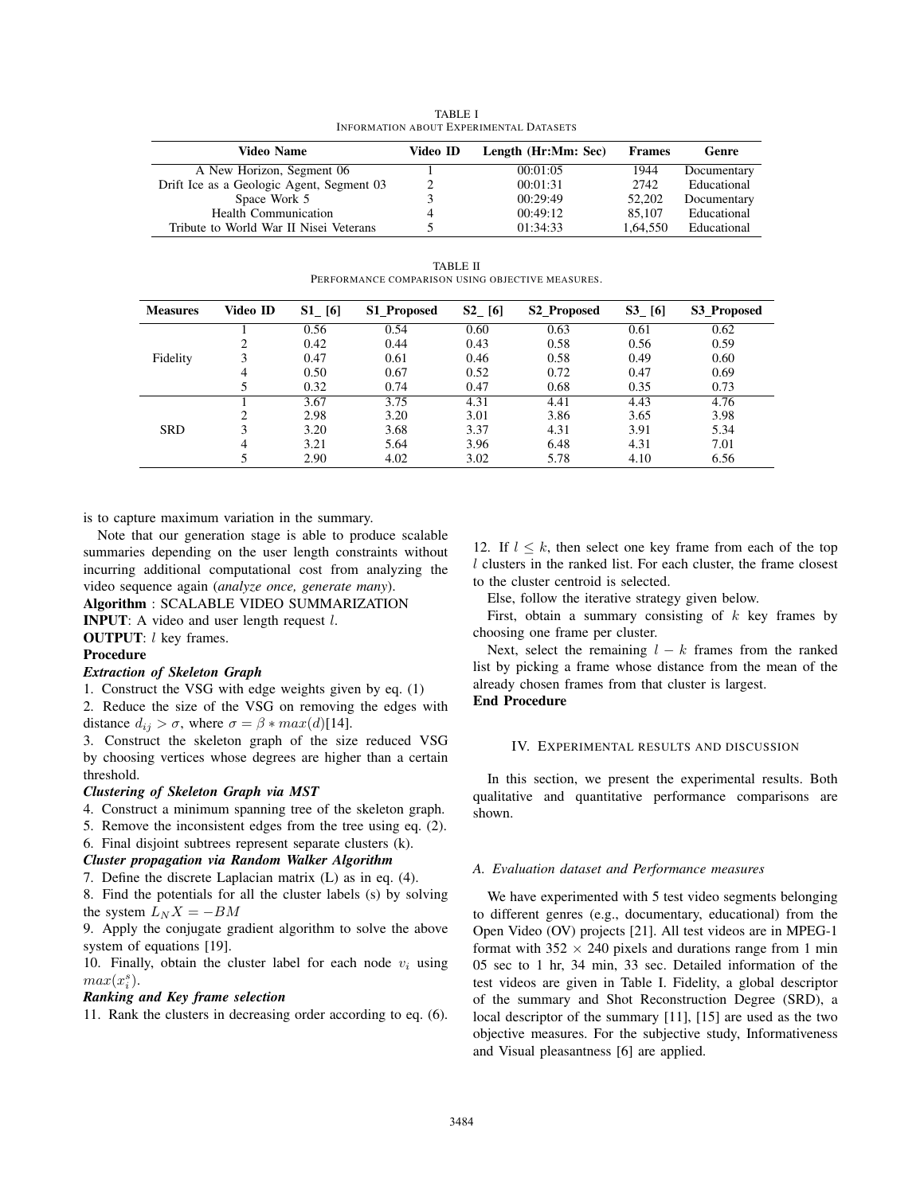| Video Name                                | Video ID | Length (Hr:Mm: Sec) | <b>Frames</b> | Genre       |
|-------------------------------------------|----------|---------------------|---------------|-------------|
| A New Horizon, Segment 06                 |          | 00:01:05            | 1944          | Documentary |
| Drift Ice as a Geologic Agent, Segment 03 |          | 00:01:31            | 2742          | Educational |
| Space Work 5                              |          | 00:29:49            | 52,202        | Documentary |
| <b>Health Communication</b>               | 4        | 00:49:12            | 85.107        | Educational |
| Tribute to World War II Nisei Veterans    |          | 01:34:33            | 1.64.550      | Educational |

TABLE I INFORMATION ABOUT EXPERIMENTAL DATASETS

TABLE II PERFORMANCE COMPARISON USING OBJECTIVE MEASURES.

| <b>Measures</b> | Video ID       | $S1$ [6] | S1 Proposed | S2 [6] | S <sub>2</sub> Proposed | S3 [6] | S3 Proposed |
|-----------------|----------------|----------|-------------|--------|-------------------------|--------|-------------|
| Fidelity        |                | 0.56     | 0.54        | 0.60   | 0.63                    | 0.61   | 0.62        |
|                 | っ              | 0.42     | 0.44        | 0.43   | 0.58                    | 0.56   | 0.59        |
|                 | 3              | 0.47     | 0.61        | 0.46   | 0.58                    | 0.49   | 0.60        |
|                 | 4              | 0.50     | 0.67        | 0.52   | 0.72                    | 0.47   | 0.69        |
|                 | 5              | 0.32     | 0.74        | 0.47   | 0.68                    | 0.35   | 0.73        |
| <b>SRD</b>      |                | 3.67     | 3.75        | 4.31   | 4.41                    | 4.43   | 4.76        |
|                 | $\overline{c}$ | 2.98     | 3.20        | 3.01   | 3.86                    | 3.65   | 3.98        |
|                 | 3              | 3.20     | 3.68        | 3.37   | 4.31                    | 3.91   | 5.34        |
|                 | 4              | 3.21     | 5.64        | 3.96   | 6.48                    | 4.31   | 7.01        |
|                 | 5              | 2.90     | 4.02        | 3.02   | 5.78                    | 4.10   | 6.56        |

is to capture maximum variation in the summary.

Note that our generation stage is able to produce scalable summaries depending on the user length constraints without incurring additional computational cost from analyzing the video sequence again (*analyze once, generate many*).

Algorithm : SCALABLE VIDEO SUMMARIZATION

INPUT: A video and user length request l.

**OUTPUT**:  $l$  key frames.

# Procedure

# *Extraction of Skeleton Graph*

1. Construct the VSG with edge weights given by eq. (1) 2. Reduce the size of the VSG on removing the edges with distance  $d_{ij} > \sigma$ , where  $\sigma = \beta * max(d)[14]$ .

3. Construct the skeleton graph of the size reduced VSG by choosing vertices whose degrees are higher than a certain threshold.

#### *Clustering of Skeleton Graph via MST*

4. Construct a minimum spanning tree of the skeleton graph.

5. Remove the inconsistent edges from the tree using eq. (2).

6. Final disjoint subtrees represent separate clusters (k).

# *Cluster propagation via Random Walker Algorithm*

7. Define the discrete Laplacian matrix (L) as in eq. (4).

8. Find the potentials for all the cluster labels (s) by solving the system  $L_N X = -BM$ 

9. Apply the conjugate gradient algorithm to solve the above system of equations [19].

10. Finally, obtain the cluster label for each node  $v_i$  using  $max(x_i^s)$ .

# *Ranking and Key frame selection*

11. Rank the clusters in decreasing order according to eq. (6).

12. If  $l \leq k$ , then select one key frame from each of the top  $l$  clusters in the ranked list. For each cluster, the frame closest to the cluster centroid is selected.

Else, follow the iterative strategy given below.

First, obtain a summary consisting of  $k$  key frames by choosing one frame per cluster.

Next, select the remaining  $l - k$  frames from the ranked list by picking a frame whose distance from the mean of the already chosen frames from that cluster is largest. End Procedure

## IV. EXPERIMENTAL RESULTS AND DISCUSSION

In this section, we present the experimental results. Both qualitative and quantitative performance comparisons are shown.

# *A. Evaluation dataset and Performance measures*

We have experimented with 5 test video segments belonging to different genres (e.g., documentary, educational) from the Open Video (OV) projects [21]. All test videos are in MPEG-1 format with  $352 \times 240$  pixels and durations range from 1 min 05 sec to 1 hr, 34 min, 33 sec. Detailed information of the test videos are given in Table I. Fidelity, a global descriptor of the summary and Shot Reconstruction Degree (SRD), a local descriptor of the summary [11], [15] are used as the two objective measures. For the subjective study, Informativeness and Visual pleasantness [6] are applied.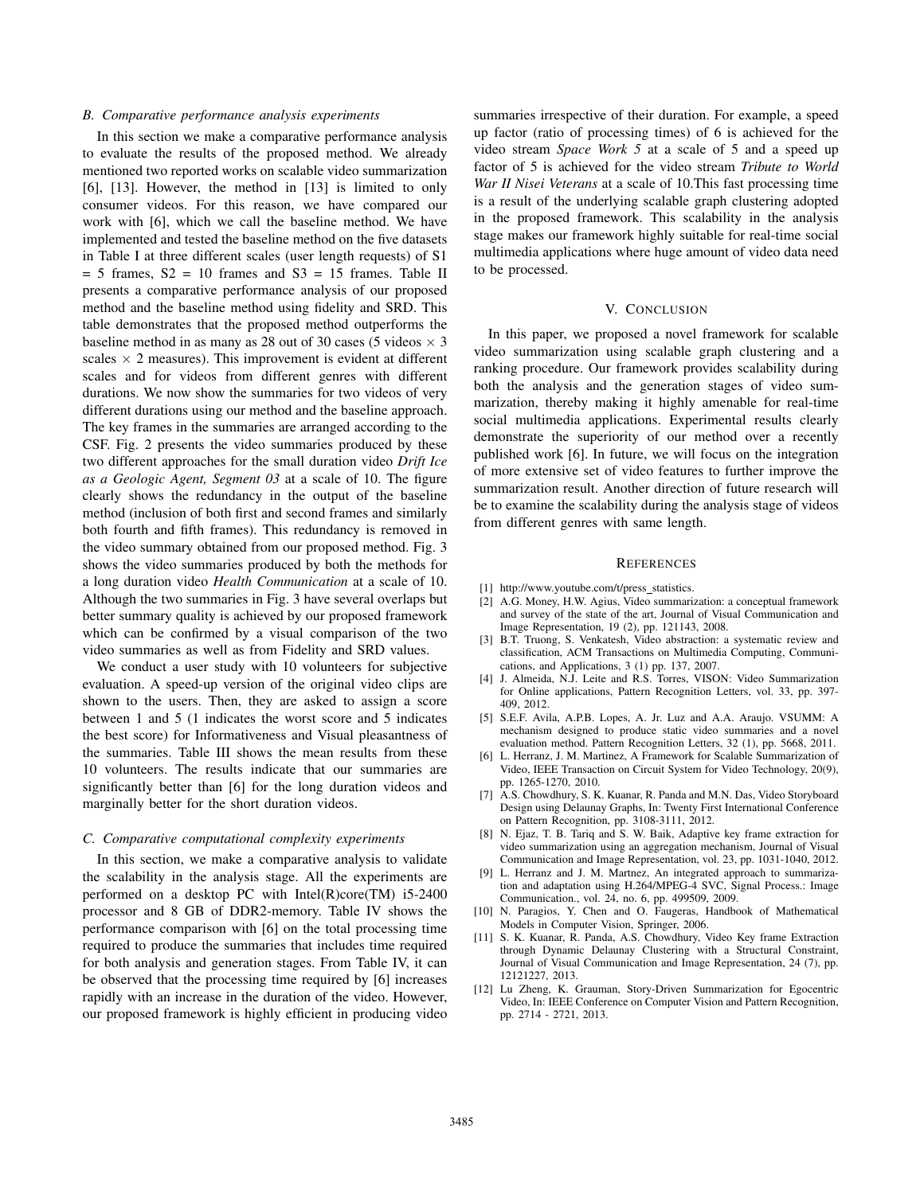#### *B. Comparative performance analysis experiments*

In this section we make a comparative performance analysis to evaluate the results of the proposed method. We already mentioned two reported works on scalable video summarization [6], [13]. However, the method in [13] is limited to only consumer videos. For this reason, we have compared our work with [6], which we call the baseline method. We have implemented and tested the baseline method on the five datasets in Table I at three different scales (user length requests) of S1  $= 5$  frames,  $S2 = 10$  frames and  $S3 = 15$  frames. Table II presents a comparative performance analysis of our proposed method and the baseline method using fidelity and SRD. This table demonstrates that the proposed method outperforms the baseline method in as many as 28 out of 30 cases (5 videos  $\times$  3 scales  $\times$  2 measures). This improvement is evident at different scales and for videos from different genres with different durations. We now show the summaries for two videos of very different durations using our method and the baseline approach. The key frames in the summaries are arranged according to the CSF. Fig. 2 presents the video summaries produced by these two different approaches for the small duration video *Drift Ice as a Geologic Agent, Segment 03* at a scale of 10. The figure clearly shows the redundancy in the output of the baseline method (inclusion of both first and second frames and similarly both fourth and fifth frames). This redundancy is removed in the video summary obtained from our proposed method. Fig. 3 shows the video summaries produced by both the methods for a long duration video *Health Communication* at a scale of 10. Although the two summaries in Fig. 3 have several overlaps but better summary quality is achieved by our proposed framework which can be confirmed by a visual comparison of the two video summaries as well as from Fidelity and SRD values.

We conduct a user study with 10 volunteers for subjective evaluation. A speed-up version of the original video clips are shown to the users. Then, they are asked to assign a score between 1 and 5 (1 indicates the worst score and 5 indicates the best score) for Informativeness and Visual pleasantness of the summaries. Table III shows the mean results from these 10 volunteers. The results indicate that our summaries are significantly better than [6] for the long duration videos and marginally better for the short duration videos.

#### *C. Comparative computational complexity experiments*

In this section, we make a comparative analysis to validate the scalability in the analysis stage. All the experiments are performed on a desktop PC with Intel(R)core(TM) i5-2400 processor and 8 GB of DDR2-memory. Table IV shows the performance comparison with [6] on the total processing time required to produce the summaries that includes time required for both analysis and generation stages. From Table IV, it can be observed that the processing time required by [6] increases rapidly with an increase in the duration of the video. However, our proposed framework is highly efficient in producing video summaries irrespective of their duration. For example, a speed up factor (ratio of processing times) of 6 is achieved for the video stream *Space Work 5* at a scale of 5 and a speed up factor of 5 is achieved for the video stream *Tribute to World War II Nisei Veterans* at a scale of 10.This fast processing time is a result of the underlying scalable graph clustering adopted in the proposed framework. This scalability in the analysis stage makes our framework highly suitable for real-time social multimedia applications where huge amount of video data need to be processed.

#### V. CONCLUSION

In this paper, we proposed a novel framework for scalable video summarization using scalable graph clustering and a ranking procedure. Our framework provides scalability during both the analysis and the generation stages of video summarization, thereby making it highly amenable for real-time social multimedia applications. Experimental results clearly demonstrate the superiority of our method over a recently published work [6]. In future, we will focus on the integration of more extensive set of video features to further improve the summarization result. Another direction of future research will be to examine the scalability during the analysis stage of videos from different genres with same length.

#### **REFERENCES**

- [1] http://www.youtube.com/t/press\_statistics.
- [2] A.G. Money, H.W. Agius, Video summarization: a conceptual framework and survey of the state of the art, Journal of Visual Communication and Image Representation, 19 (2), pp. 121143, 2008.
- [3] B.T. Truong, S. Venkatesh, Video abstraction: a systematic review and classification, ACM Transactions on Multimedia Computing, Communications, and Applications, 3 (1) pp. 137, 2007.
- [4] J. Almeida, N.J. Leite and R.S. Torres, VISON: Video Summarization for Online applications, Pattern Recognition Letters, vol. 33, pp. 397- 409, 2012.
- [5] S.E.F. Avila, A.P.B. Lopes, A. Jr. Luz and A.A. Araujo. VSUMM: A mechanism designed to produce static video summaries and a novel evaluation method. Pattern Recognition Letters, 32 (1), pp. 5668, 2011.
- [6] L. Herranz, J. M. Martinez, A Framework for Scalable Summarization of Video, IEEE Transaction on Circuit System for Video Technology, 20(9), pp. 1265-1270, 2010.
- [7] A.S. Chowdhury, S. K. Kuanar, R. Panda and M.N. Das, Video Storyboard Design using Delaunay Graphs, In: Twenty First International Conference on Pattern Recognition, pp. 3108-3111, 2012.
- [8] N. Ejaz, T. B. Tariq and S. W. Baik, Adaptive key frame extraction for video summarization using an aggregation mechanism, Journal of Visual Communication and Image Representation, vol. 23, pp. 1031-1040, 2012.
- [9] L. Herranz and J. M. Martnez, An integrated approach to summarization and adaptation using H.264/MPEG-4 SVC, Signal Process.: Image Communication., vol. 24, no. 6, pp. 499509, 2009.
- [10] N. Paragios, Y. Chen and O. Faugeras, Handbook of Mathematical Models in Computer Vision, Springer, 2006.
- [11] S. K. Kuanar, R. Panda, A.S. Chowdhury, Video Key frame Extraction through Dynamic Delaunay Clustering with a Structural Constraint, Journal of Visual Communication and Image Representation, 24 (7), pp. 12121227, 2013.
- [12] Lu Zheng, K. Grauman, Story-Driven Summarization for Egocentric Video, In: IEEE Conference on Computer Vision and Pattern Recognition, pp. 2714 - 2721, 2013.